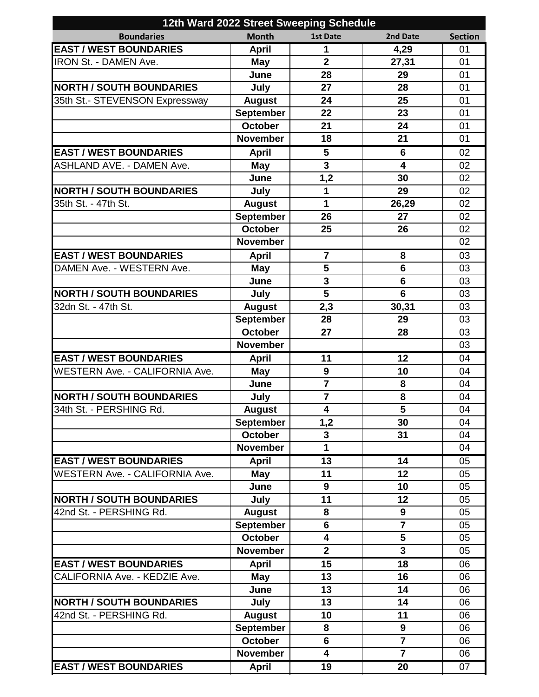| 12th Ward 2022 Street Sweeping Schedule |                  |                         |                         |                |  |  |
|-----------------------------------------|------------------|-------------------------|-------------------------|----------------|--|--|
| <b>Boundaries</b>                       | <b>Month</b>     | <b>1st Date</b>         | 2nd Date                | <b>Section</b> |  |  |
| <b>EAST / WEST BOUNDARIES</b>           | <b>April</b>     | 1                       | 4,29                    | 01             |  |  |
| IRON St. - DAMEN Ave.                   | <b>May</b>       | $\overline{2}$          | 27,31                   | 01             |  |  |
|                                         | June             | 28                      | 29                      | 01             |  |  |
| <b>NORTH / SOUTH BOUNDARIES</b>         | July             | 27                      | 28                      | 01             |  |  |
| 35th St.- STEVENSON Expressway          | <b>August</b>    | 24                      | 25                      | 01             |  |  |
|                                         | <b>September</b> | 22                      | 23                      | 01             |  |  |
|                                         | October          | 21                      | 24                      | 01             |  |  |
|                                         | <b>November</b>  | 18                      | 21                      | 01             |  |  |
| <b>EAST / WEST BOUNDARIES</b>           | <b>April</b>     | 5                       | 6                       | 02             |  |  |
| <b>ASHLAND AVE. - DAMEN Ave.</b>        | <b>May</b>       | $\overline{\mathbf{3}}$ | $\overline{\mathbf{4}}$ | 02             |  |  |
|                                         | June             | 1,2                     | 30                      | 02             |  |  |
| <b>NORTH / SOUTH BOUNDARIES</b>         | July             | 1                       | 29                      | 02             |  |  |
| 35th St. - 47th St.                     | <b>August</b>    | 1                       | 26,29                   | 02             |  |  |
|                                         | <b>September</b> | 26                      | 27                      | 02             |  |  |
|                                         | <b>October</b>   | 25                      | 26                      | 02             |  |  |
|                                         | <b>November</b>  |                         |                         | 02             |  |  |
| <b>EAST / WEST BOUNDARIES</b>           | <b>April</b>     | $\overline{7}$          | 8                       | 03             |  |  |
| DAMEN Ave. - WESTERN Ave.               | <b>May</b>       | 5                       | 6                       | 03             |  |  |
|                                         | June             | $\overline{\mathbf{3}}$ | $6\phantom{1}6$         | 03             |  |  |
| <b>NORTH / SOUTH BOUNDARIES</b>         | July             | $\overline{\mathbf{5}}$ | $6\phantom{1}6$         | 03             |  |  |
| 32dn St. - 47th St.                     | <b>August</b>    | 2,3                     | 30,31                   | 03             |  |  |
|                                         | <b>September</b> | 28                      | 29                      | 03             |  |  |
|                                         | <b>October</b>   | 27                      | 28                      | 03             |  |  |
|                                         | <b>November</b>  |                         |                         | 03             |  |  |
| <b>EAST / WEST BOUNDARIES</b>           | <b>April</b>     | 11                      | 12                      | 04             |  |  |
| <b>WESTERN Ave. - CALIFORNIA Ave.</b>   | <b>May</b>       | $\boldsymbol{9}$        | 10                      | 04             |  |  |
|                                         | June             | $\overline{7}$          | 8                       | 04             |  |  |
| <b>NORTH / SOUTH BOUNDARIES</b>         | July             | $\overline{\mathbf{7}}$ | 8                       | 04             |  |  |
| 34th St. - PERSHING Rd.                 | <b>August</b>    | 4                       | 5                       | 04             |  |  |
|                                         | <b>September</b> | 1,2                     | 30                      | 04             |  |  |
|                                         | <b>October</b>   | $\overline{\mathbf{3}}$ | 31                      | 04             |  |  |
|                                         | <b>November</b>  | 1                       |                         | 04             |  |  |
| <b>EAST / WEST BOUNDARIES</b>           | <b>April</b>     | 13                      | 14                      | 05             |  |  |
| <b>WESTERN Ave. - CALIFORNIA Ave.</b>   | May              | 11                      | 12                      | 05             |  |  |
|                                         | June             | $\boldsymbol{9}$        | 10                      | 05             |  |  |
| <b>NORTH / SOUTH BOUNDARIES</b>         | July             | 11                      | 12                      | 05             |  |  |
| 42nd St. - PERSHING Rd.                 | <b>August</b>    | 8                       | 9                       | 05             |  |  |
|                                         | <b>September</b> | 6                       | $\overline{7}$          | 05             |  |  |
|                                         | <b>October</b>   | $\overline{\mathbf{4}}$ | 5                       | 05             |  |  |
|                                         | <b>November</b>  | $\overline{2}$          | $\overline{\mathbf{3}}$ | 05             |  |  |
| <b>EAST / WEST BOUNDARIES</b>           | <b>April</b>     | $\overline{15}$         | 18                      | 06             |  |  |
| CALIFORNIA Ave. - KEDZIE Ave.           | May              | 13                      | 16                      | 06             |  |  |
|                                         | June             | 13                      | 14                      | 06             |  |  |
| <b>NORTH / SOUTH BOUNDARIES</b>         | July             | 13                      | 14                      | 06             |  |  |
| 42nd St. - PERSHING Rd.                 | <b>August</b>    | 10                      | 11                      | 06             |  |  |
|                                         | <b>September</b> | 8                       | 9                       | 06             |  |  |
|                                         | <b>October</b>   | $6\phantom{1}$          | $\overline{7}$          | 06             |  |  |
|                                         | <b>November</b>  | $\overline{\mathbf{4}}$ | $\overline{7}$          | 06             |  |  |
| <b>EAST / WEST BOUNDARIES</b>           | <b>April</b>     | 19                      | 20                      | 07             |  |  |